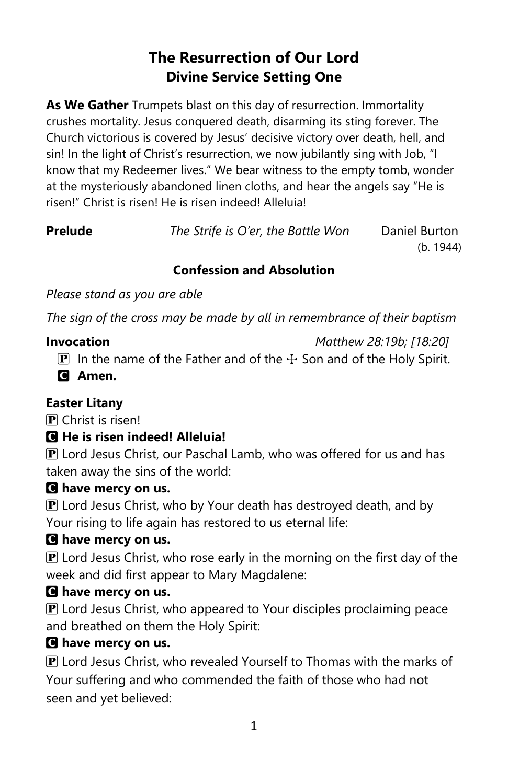# **The Resurrection of Our Lord Divine Service Setting One**

**As We Gather** Trumpets blast on this day of resurrection. Immortality crushes mortality. Jesus conquered death, disarming its sting forever. The Church victorious is covered by Jesus' decisive victory over death, hell, and sin! In the light of Christ's resurrection, we now jubilantly sing with Job, "I know that my Redeemer lives." We bear witness to the empty tomb, wonder at the mysteriously abandoned linen cloths, and hear the angels say "He is risen!" Christ is risen! He is risen indeed! Alleluia!

**Prelude** *The Strife is O'er, the Battle Won* Daniel Burton

(b. 1944)

# **Confession and Absolution**

*Please stand as you are able*

*The sign of the cross may be made by all in remembrance of their baptism*

# **Invocation** *Matthew 28:19b; [18:20]*

**P** In the name of the Father and of the  $\pm$  Son and of the Holy Spirit.

C **Amen.**

# **Easter Litany**

P Christ is risen!

# C **He is risen indeed! Alleluia!**

 $\bf{P}$  Lord Jesus Christ, our Paschal Lamb, who was offered for us and has taken away the sins of the world:

# C **have mercy on us.**

 $\mathbf P$  Lord Jesus Christ, who by Your death has destroyed death, and by Your rising to life again has restored to us eternal life:

# C **have mercy on us.**

 $\bf{P}$  Lord Jesus Christ, who rose early in the morning on the first day of the week and did first appear to Mary Magdalene:

# C **have mercy on us.**

 $\bf{P}$  Lord Jesus Christ, who appeared to Your disciples proclaiming peace and breathed on them the Holy Spirit:

# C **have mercy on us.**

 $\mathbf P$  Lord Jesus Christ, who revealed Yourself to Thomas with the marks of Your suffering and who commended the faith of those who had not seen and yet believed: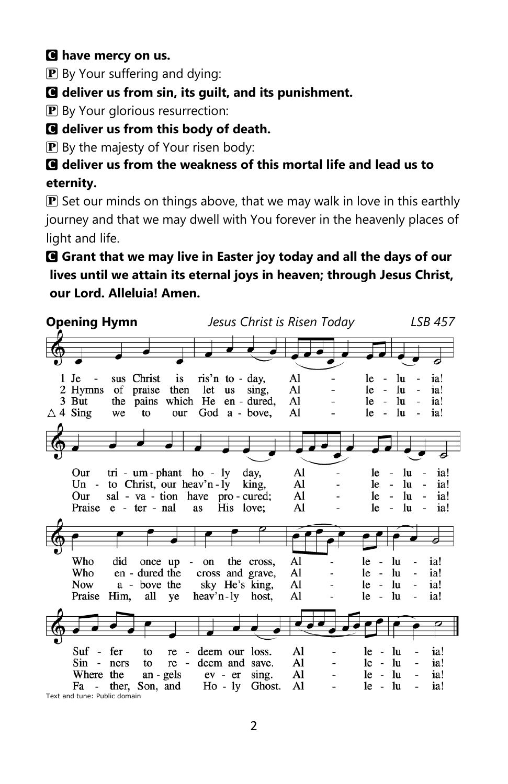# C **have mercy on us.**

**P** By Your suffering and dying:

C **deliver us from sin, its guilt, and its punishment.**

**P** By Your glorious resurrection:

# C **deliver us from this body of death.**

P By the majesty of Your risen body:

# C **deliver us from the weakness of this mortal life and lead us to eternity.**

 $\mathbf P$  Set our minds on things above, that we may walk in love in this earthly journey and that we may dwell with You forever in the heavenly places of light and life.

# C **Grant that we may live in Easter joy today and all the days of our lives until we attain its eternal joys in heaven; through Jesus Christ, our Lord. Alleluia! Amen.**

**Opening Hymn** *Jesus Christ is Risen Today LSB 457* sus Christ is ris'n to - day,  $\mathbf{A}$  $le - lu$ 1 Je ia! 2 Hymns of praise then let us sing, Al  $le$ lu ia!  $3$  But the pains which He en - dured, Al  $le$ lu ia!  $\triangle$  4 Sing we to our God a - bove, Al le  $\sim$ lu ia! tri - um - phant ho - ly day, Our Al le  $\overline{a}$ lu ia! Un - to Christ, our heav'n-ly king, Al  $le$ lu ia! Our sal - va - tion have pro - cured; Al le  $\overline{\phantom{a}}$ lu ia! Praise e - ter - nal as His love; Al le  $\sim$ lu ia!  $\mathbf{A}$ Who did once up  $\overline{a}$ on the cross.  $le - lu$  $\overline{a}$ ia! Who en - dured the Al ia! cross and grave,  $le - lu$ a - bove the sky He's king, Al  $le - lu$ ia! **Now** l, Praise Him, all ye heav'n-ly host, Al le  $\sim$ lu ia! Suf - fer  $re$ deem our loss. Al  $le - lu$ ia! to  $\overline{a}$ Sin - ners Al  $le - lu$ to re - deem and save.  $\overline{a}$ ia! Where the an - gels  $ev - er \, sing.$ Al  $le - lu$ ia!  $\frac{1}{2}$ Fa - ther, Son, and  $Ho - ly$ Ghost. Al  $le - lu$ ia!  $\overline{\phantom{0}}$ Text and tune: Public domain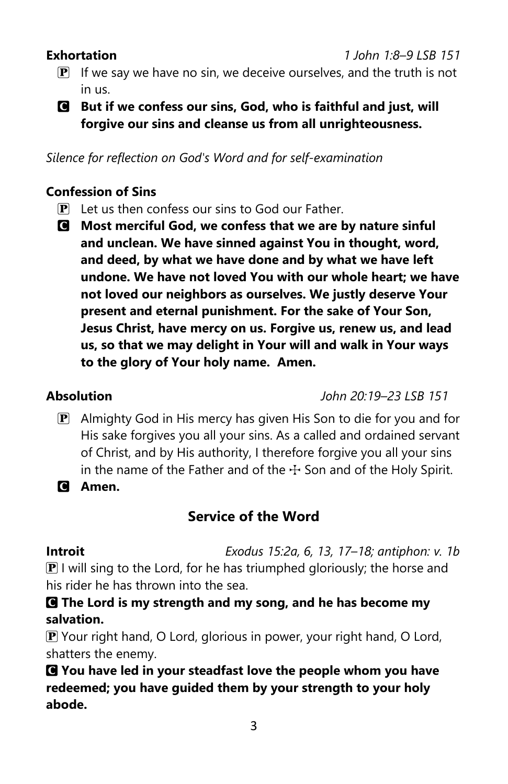- $\mathbf{P}$  If we say we have no sin, we deceive ourselves, and the truth is not in us.
- C **But if we confess our sins, God, who is faithful and just, will forgive our sins and cleanse us from all unrighteousness.**

*Silence for reflection on God's Word and for self-examination*

# **Confession of Sins**

- P Let us then confess our sins to God our Father.
- C **Most merciful God, we confess that we are by nature sinful and unclean. We have sinned against You in thought, word, and deed, by what we have done and by what we have left undone. We have not loved You with our whole heart; we have not loved our neighbors as ourselves. We justly deserve Your present and eternal punishment. For the sake of Your Son, Jesus Christ, have mercy on us. Forgive us, renew us, and lead us, so that we may delight in Your will and walk in Your ways to the glory of Your holy name. Amen.**

**Absolution** *John 20:19–23 LSB 151*

- $\mathbf{P}$  Almighty God in His mercy has given His Son to die for you and for His sake forgives you all your sins. As a called and ordained servant of Christ, and by His authority, I therefore forgive you all your sins in the name of the Father and of the  $\pm$  Son and of the Holy Spirit.
- C **Amen.**

# **Service of the Word**

**Introit** *Exodus 15:2a, 6, 13, 17–18; antiphon: v. 1b*

 $\mathbf{P}$  I will sing to the Lord, for he has triumphed gloriously; the horse and his rider he has thrown into the sea.

C **The Lord is my strength and my song, and he has become my salvation.**

 $\mathbf P$  Your right hand, O Lord, glorious in power, your right hand, O Lord, shatters the enemy.

C **You have led in your steadfast love the people whom you have redeemed; you have guided them by your strength to your holy abode.**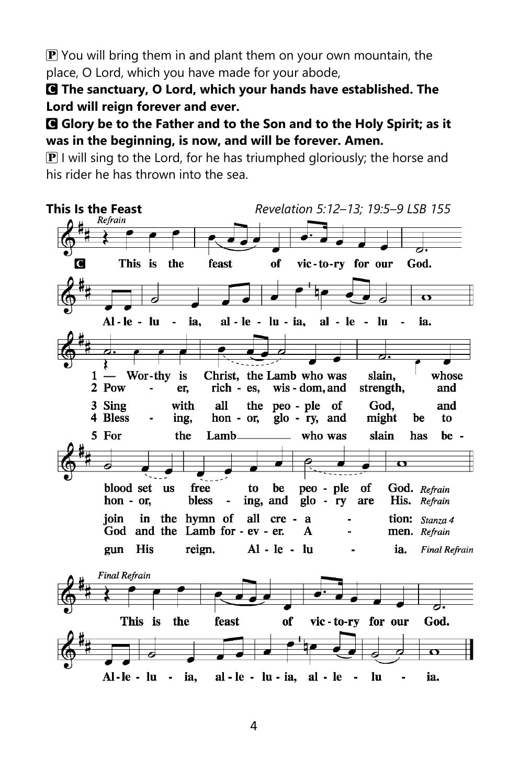$\bf{P}$  You will bring them in and plant them on your own mountain, the place, O Lord, which you have made for your abode,

C **The sanctuary, O Lord, which your hands have established. The Lord will reign forever and ever.**

C **Glory be to the Father and to the Son and to the Holy Spirit; as it was in the beginning, is now, and will be forever. Amen.**

 $\mathbf{P}$  I will sing to the Lord, for he has triumphed gloriously; the horse and his rider he has thrown into the sea.

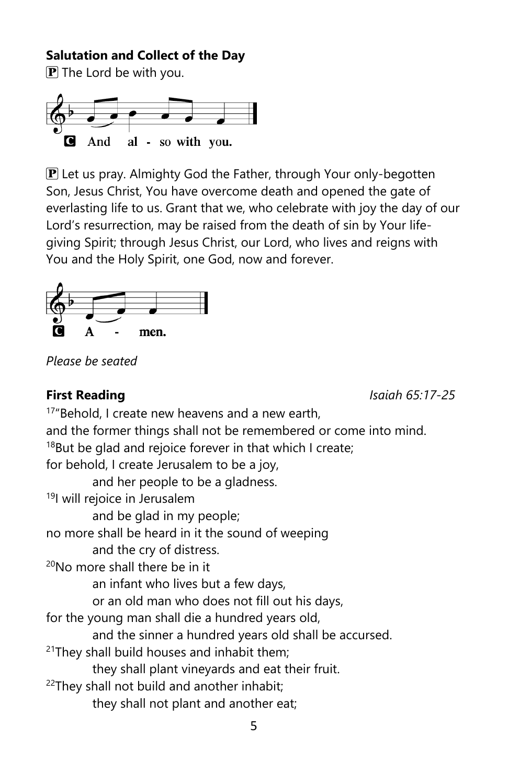# **Salutation and Collect of the Day**

 $\bf{P}$  The Lord be with you.



 $\mathbf P$  Let us pray. Almighty God the Father, through Your only-begotten Son, Jesus Christ, You have overcome death and opened the gate of everlasting life to us. Grant that we, who celebrate with joy the day of our Lord's resurrection, may be raised from the death of sin by Your lifegiving Spirit; through Jesus Christ, our Lord, who lives and reigns with You and the Holy Spirit, one God, now and forever.



*Please be seated*

**First Reading** *Isaiah 65:17-25*

<sup>17</sup>"Behold, I create new heavens and a new earth, and the former things shall not be remembered or come into mind.  $18$ But be glad and rejoice forever in that which I create; for behold, I create Jerusalem to be a joy, and her people to be a gladness. <sup>19</sup>I will rejoice in Jerusalem and be glad in my people; no more shall be heard in it the sound of weeping and the cry of distress. <sup>20</sup>No more shall there be in it an infant who lives but a few days, or an old man who does not fill out his days, for the young man shall die a hundred years old, and the sinner a hundred years old shall be accursed.  $21$ They shall build houses and inhabit them; they shall plant vineyards and eat their fruit.  $22$ They shall not build and another inhabit; they shall not plant and another eat;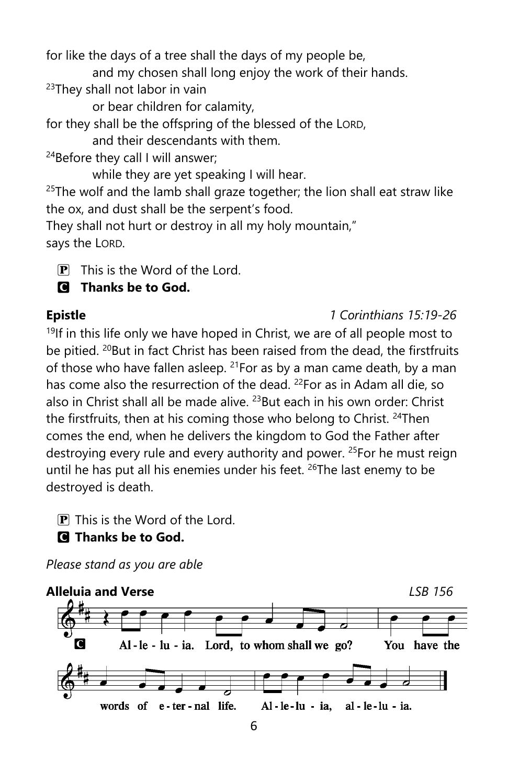for like the days of a tree shall the days of my people be,

and my chosen shall long enjoy the work of their hands.

 $23$ They shall not labor in vain

or bear children for calamity,

for they shall be the offspring of the blessed of the LORD,

and their descendants with them.

 $24$ Before they call I will answer:

while they are yet speaking I will hear.

 $25$ The wolf and the lamb shall graze together; the lion shall eat straw like the ox, and dust shall be the serpent's food.

They shall not hurt or destroy in all my holy mountain," says the LORD.

 $\overline{P}$  This is the Word of the Lord.

# C **Thanks be to God.**

# **Epistle** *1 Corinthians 15:19-26*

 $19$ If in this life only we have hoped in Christ, we are of all people most to be pitied. <sup>20</sup>But in fact Christ has been raised from the dead, the firstfruits of those who have fallen asleep. <sup>21</sup>For as by a man came death, by a man has come also the resurrection of the dead. <sup>22</sup>For as in Adam all die, so also in Christ shall all be made alive. <sup>23</sup>But each in his own order: Christ the firstfruits, then at his coming those who belong to Christ. <sup>24</sup>Then comes the end, when he delivers the kingdom to God the Father after destroying every rule and every authority and power. <sup>25</sup>For he must reign until he has put all his enemies under his feet. <sup>26</sup>The last enemy to be destroyed is death.

P This is the Word of the Lord.

C **Thanks be to God.**

*Please stand as you are able*

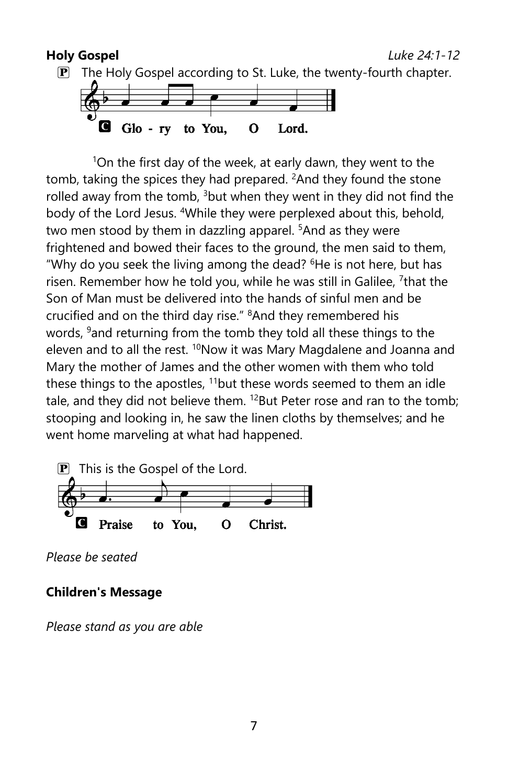### **Holy Gospel** *Luke 24:1-12*





<sup>1</sup>On the first day of the week, at early dawn, they went to the tomb, taking the spices they had prepared.  ${}^{2}$ And they found the stone rolled away from the tomb, <sup>3</sup>but when they went in they did not find the body of the Lord Jesus. <sup>4</sup>While they were perplexed about this, behold, two men stood by them in dazzling apparel. <sup>5</sup>And as they were frightened and bowed their faces to the ground, the men said to them, "Why do you seek the living among the dead? <sup>6</sup>He is not here, but has risen. Remember how he told you, while he was still in Galilee, <sup>7</sup>that the Son of Man must be delivered into the hands of sinful men and be crucified and on the third day rise." <sup>8</sup>And they remembered his words, <sup>9</sup> and returning from the tomb they told all these things to the eleven and to all the rest. <sup>10</sup>Now it was Mary Magdalene and Joanna and Mary the mother of James and the other women with them who told these things to the apostles,  $11$  but these words seemed to them an idle tale, and they did not believe them.  $^{12}$ But Peter rose and ran to the tomb; stooping and looking in, he saw the linen cloths by themselves; and he went home marveling at what had happened.



*Please be seated*

## **Children's Message**

*Please stand as you are able*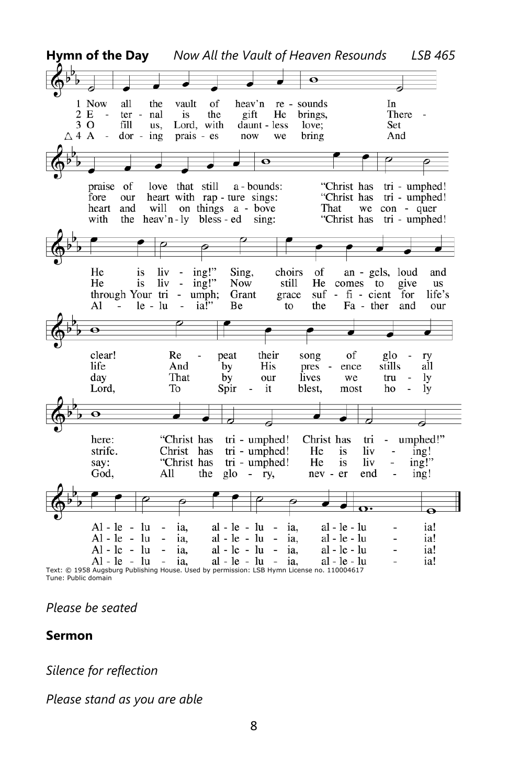

Tune: Public domain

*Please be seated*

#### **Sermon**

*Silence for reflection*

*Please stand as you are able*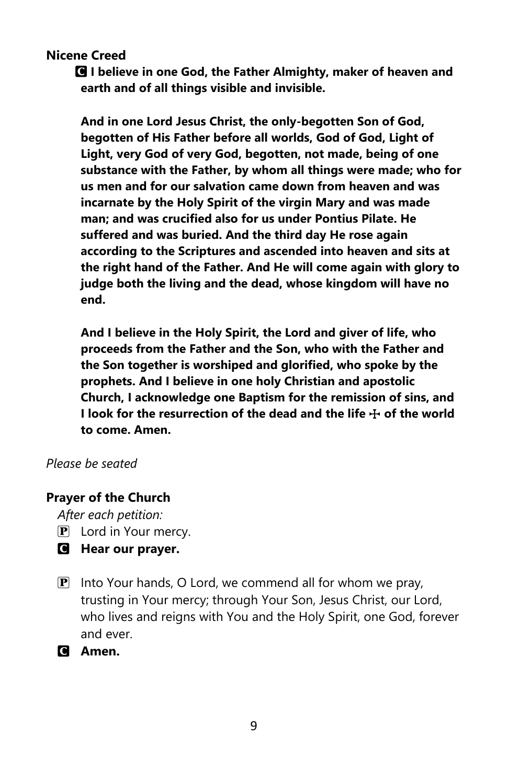**Nicene Creed** 

C **I believe in one God, the Father Almighty, maker of heaven and earth and of all things visible and invisible.**

**And in one Lord Jesus Christ, the only-begotten Son of God, begotten of His Father before all worlds, God of God, Light of Light, very God of very God, begotten, not made, being of one substance with the Father, by whom all things were made; who for us men and for our salvation came down from heaven and was incarnate by the Holy Spirit of the virgin Mary and was made man; and was crucified also for us under Pontius Pilate. He suffered and was buried. And the third day He rose again according to the Scriptures and ascended into heaven and sits at the right hand of the Father. And He will come again with glory to judge both the living and the dead, whose kingdom will have no end.**

**And I believe in the Holy Spirit, the Lord and giver of life, who proceeds from the Father and the Son, who with the Father and the Son together is worshiped and glorified, who spoke by the prophets. And I believe in one holy Christian and apostolic Church, I acknowledge one Baptism for the remission of sins, and I look for the resurrection of the dead and the life**  $\pm$  **of the world to come. Amen.**

#### *Please be seated*

### **Prayer of the Church**

*After each petition:*

- $\overline{P}$  Lord in Your mercy.
- C **Hear our prayer.**
- $\mathbf{P}$  Into Your hands, O Lord, we commend all for whom we pray, trusting in Your mercy; through Your Son, Jesus Christ, our Lord, who lives and reigns with You and the Holy Spirit, one God, forever and ever.
- C **Amen.**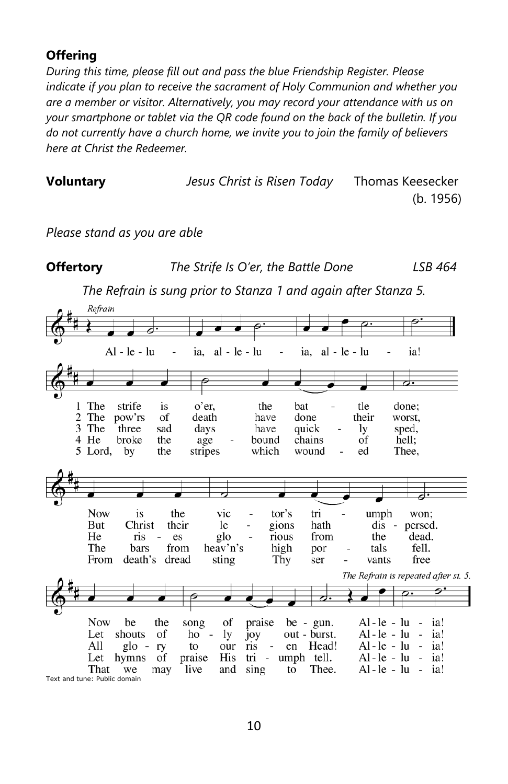# **Offering**

*During this time, please fill out and pass the blue Friendship Register. Please indicate if you plan to receive the sacrament of Holy Communion and whether you are a member or visitor. Alternatively, you may record your attendance with us on your smartphone or tablet via the QR code found on the back of the bulletin. If you do not currently have a church home, we invite you to join the family of believers here at Christ the Redeemer.*

| <b>Voluntary</b> | Jesus Christ is Risen Today | Thomas Keesecker |
|------------------|-----------------------------|------------------|
|                  |                             | (b. 1956)        |

*Please stand as you are able*

**Offertory** *The Strife Is O'er, the Battle Done LSB 464 The Refrain is sung prior to Stanza 1 and again after Stanza 5.* Refrain  $al - le - lu$  $Al - le - lu$ ia.  $al - le - lu$ ia! ia. ≂ ⊣. 1 The strife is o'er. the bat tle done: 2 The pow'rs of death have done their worst, 3 The three sad quick sped, days have ly 4 He broke the age bound chains  $\dot{\mathrm{of}}$ hell: 5 Lord, by the stripes which wound ed Thee, **Now** is the vic tor's tri umph won; But Christ their hath le gions dis - persed. He ris es glo rious from the dead. The bars from heav'n's high tals fell. por From death's dread sting Thy vants free ser The Refrain is repeated after st. 5. **Now** be the song of praise be -  $gun.$  $Al-le - lu$ ia! Let shouts of  $Al-le - lu$ ia! ho  $\sim$ ly joy out - burst. All  $g$ lo ry to our ris en Head!  $Al-le - lu$ ia!

 $\dot{\mathrm{of}}$ Let hymns praise **His** tri umph tell.  $Al-le - lu$ ia! That we may live and  $\sin g$ to Thee. Al-le-luia! Text and tune: Public domain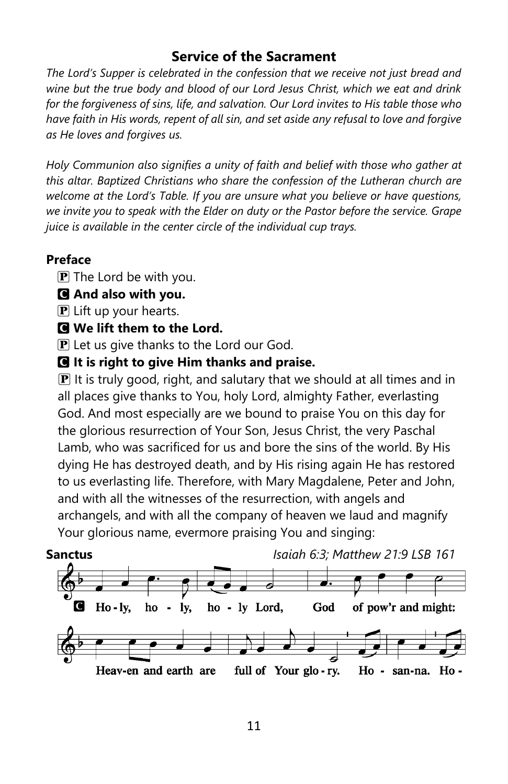# **Service of the Sacrament**

*The Lord's Supper is celebrated in the confession that we receive not just bread and wine but the true body and blood of our Lord Jesus Christ, which we eat and drink for the forgiveness of sins, life, and salvation. Our Lord invites to His table those who have faith in His words, repent of all sin, and set aside any refusal to love and forgive as He loves and forgives us.*

*Holy Communion also signifies a unity of faith and belief with those who gather at this altar. Baptized Christians who share the confession of the Lutheran church are welcome at the Lord's Table. If you are unsure what you believe or have questions, we invite you to speak with the Elder on duty or the Pastor before the service. Grape juice is available in the center circle of the individual cup trays.*

## **Preface**

 $\mathbf{P}$  The Lord be with you.

- C **And also with you.**
- $\bf{P}$  Lift up your hearts.

### C **We lift them to the Lord.**

 $\mathbf{P}$  Let us give thanks to the Lord our God.

C **It is right to give Him thanks and praise.**

 $\mathbf{P}$  It is truly good, right, and salutary that we should at all times and in all places give thanks to You, holy Lord, almighty Father, everlasting God. And most especially are we bound to praise You on this day for the glorious resurrection of Your Son, Jesus Christ, the very Paschal Lamb, who was sacrificed for us and bore the sins of the world. By His dying He has destroyed death, and by His rising again He has restored to us everlasting life. Therefore, with Mary Magdalene, Peter and John, and with all the witnesses of the resurrection, with angels and archangels, and with all the company of heaven we laud and magnify Your glorious name, evermore praising You and singing:

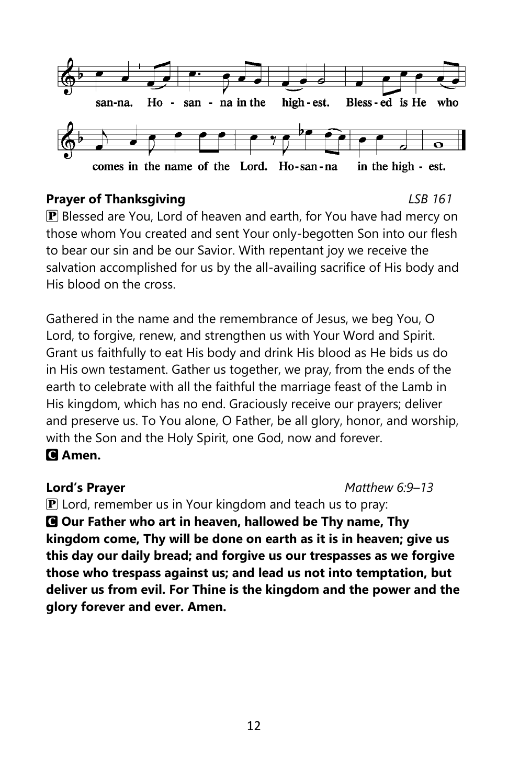

### **Prayer of Thanksgiving** *LSB 161*

P Blessed are You, Lord of heaven and earth, for You have had mercy on those whom You created and sent Your only-begotten Son into our flesh to bear our sin and be our Savior. With repentant joy we receive the salvation accomplished for us by the all-availing sacrifice of His body and His blood on the cross.

Gathered in the name and the remembrance of Jesus, we beg You, O Lord, to forgive, renew, and strengthen us with Your Word and Spirit. Grant us faithfully to eat His body and drink His blood as He bids us do in His own testament. Gather us together, we pray, from the ends of the earth to celebrate with all the faithful the marriage feast of the Lamb in His kingdom, which has no end. Graciously receive our prayers; deliver and preserve us. To You alone, O Father, be all glory, honor, and worship, with the Son and the Holy Spirit, one God, now and forever.

# C **Amen.**

**Lord's Prayer** *Matthew 6:9–13* 

 $\mathbf P$  Lord, remember us in Your kingdom and teach us to pray: C **Our Father who art in heaven, hallowed be Thy name, Thy kingdom come, Thy will be done on earth as it is in heaven; give us this day our daily bread; and forgive us our trespasses as we forgive those who trespass against us; and lead us not into temptation, but deliver us from evil. For Thine is the kingdom and the power and the glory forever and ever. Amen.**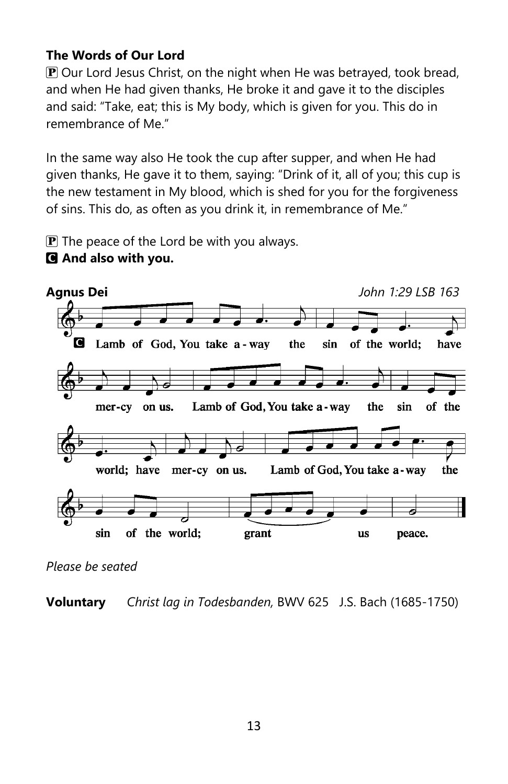# **The Words of Our Lord**

 $\mathbf{P}$  Our Lord Jesus Christ, on the night when He was betrayed, took bread, and when He had given thanks, He broke it and gave it to the disciples and said: "Take, eat; this is My body, which is given for you. This do in remembrance of Me."

In the same way also He took the cup after supper, and when He had given thanks, He gave it to them, saying: "Drink of it, all of you; this cup is the new testament in My blood, which is shed for you for the forgiveness of sins. This do, as often as you drink it, in remembrance of Me."

 $\mathbf{P}$  The peace of the Lord be with you always.





*Please be seated*

**Voluntary** *Christ lag in Todesbanden,* BWV 625 J.S. Bach (1685-1750)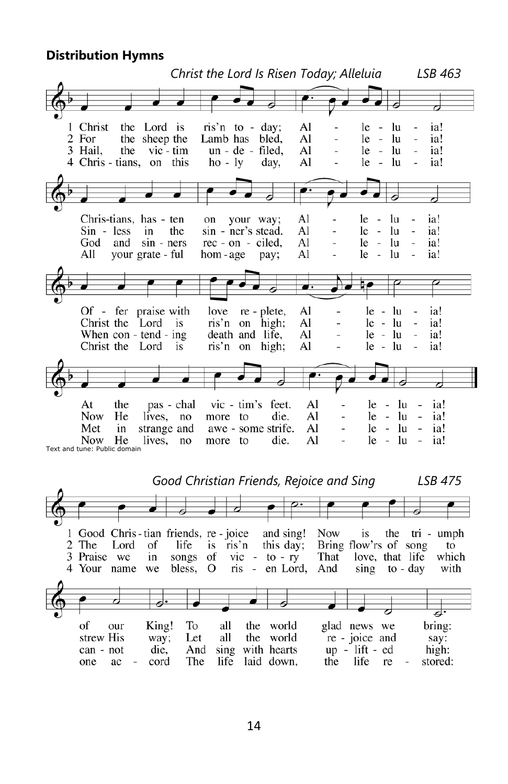#### **Distribution Hymns**



 *Good Christian Friends, Rejoice and Sing LSB 475*1 Good Chris-tian friends, re-joice and sing! **Now** is the tri - umph 2 The Lord of life is ris'n this day; Bring flow'rs of song to 3 Praise we in songs of  $\overline{\text{vic}}$  - to - ry That love, that life which ris - en Lord, 4 Your name we bless, O And  $sing$  to - day with बंग glad news we of King! To all the world bring: our the world strew His way; Let all re - joice and say: die, And sing with hearts  $up$  - lift - ed can - not high: one  $ac$ cord The life laid down, the life re stored: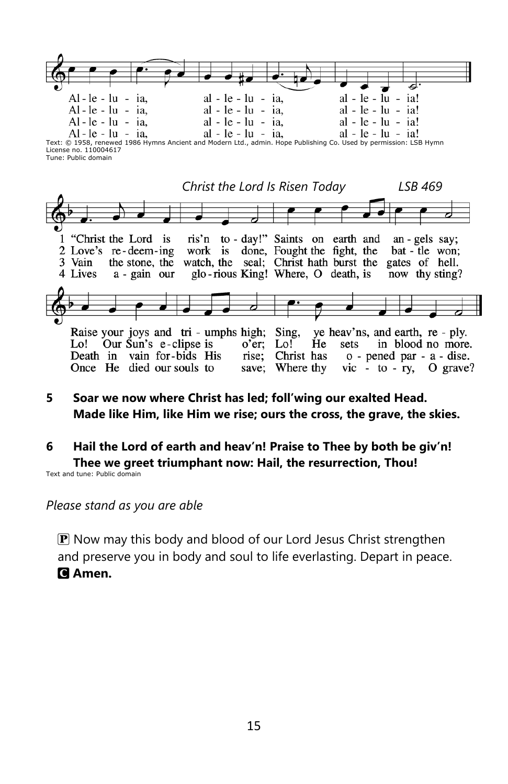

License no. 110004617 Tune: Public domain



- **5 Soar we now where Christ has led; foll'wing our exalted Head. Made like Him, like Him we rise; ours the cross, the grave, the skies.**
- **6 Hail the Lord of earth and heav'n! Praise to Thee by both be giv'n! Thee we greet triumphant now: Hail, the resurrection, Thou!** Text and tune: Public domain

*Please stand as you are able*

 $\mathbf P$  Now may this body and blood of our Lord Jesus Christ strengthen and preserve you in body and soul to life everlasting. Depart in peace. C **Amen.**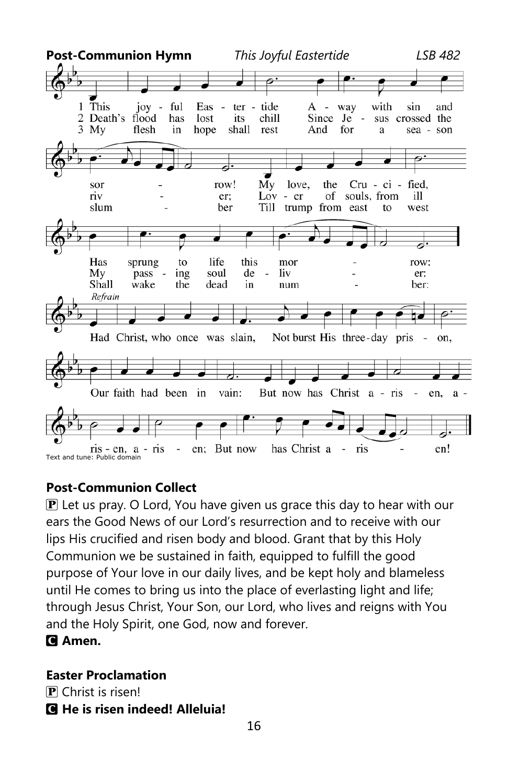

### **Post-Communion Collect**

 $\mathbf{P}$  Let us pray. O Lord, You have given us grace this day to hear with our ears the Good News of our Lord's resurrection and to receive with our lips His crucified and risen body and blood. Grant that by this Holy Communion we be sustained in faith, equipped to fulfill the good purpose of Your love in our daily lives, and be kept holy and blameless until He comes to bring us into the place of everlasting light and life; through Jesus Christ, Your Son, our Lord, who lives and reigns with You and the Holy Spirit, one God, now and forever.

### C **Amen.**

### **Easter Proclamation**

P Christ is risen!

# C **He is risen indeed! Alleluia!**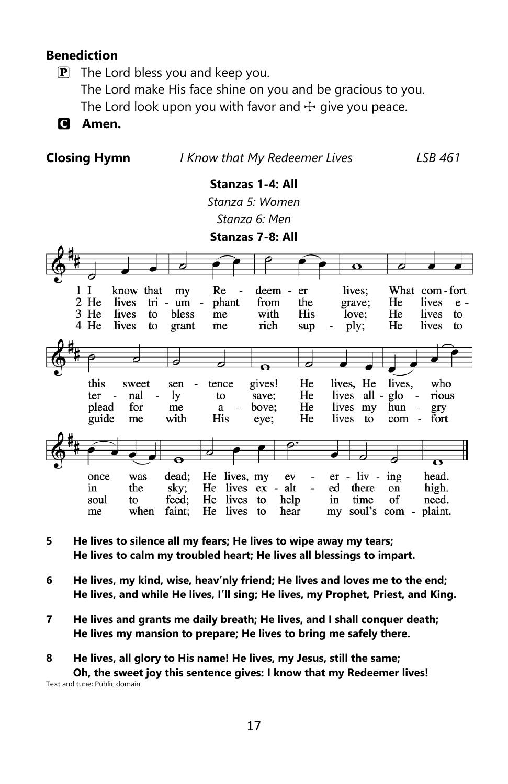### **Benediction**

 $\mathbf{P}$  The Lord bless you and keep you. The Lord make His face shine on you and be gracious to you. The Lord look upon you with favor and  $\pm$  give you peace.

C **Amen.**

**Closing Hymn** *I Know that My Redeemer Lives**LSB 461*

# **Stanzas 1-4: All**

*Stanza 5: Women Stanza 6: Men*

**Stanzas 7-8: All**



- **5 He lives to silence all my fears; He lives to wipe away my tears; He lives to calm my troubled heart; He lives all blessings to impart.**
- **6 He lives, my kind, wise, heav'nly friend; He lives and loves me to the end; He lives, and while He lives, I'll sing; He lives, my Prophet, Priest, and King.**
- **7 He lives and grants me daily breath; He lives, and I shall conquer death; He lives my mansion to prepare; He lives to bring me safely there.**

**8 He lives, all glory to His name! He lives, my Jesus, still the same; Oh, the sweet joy this sentence gives: I know that my Redeemer lives!** Text and tune: Public domain